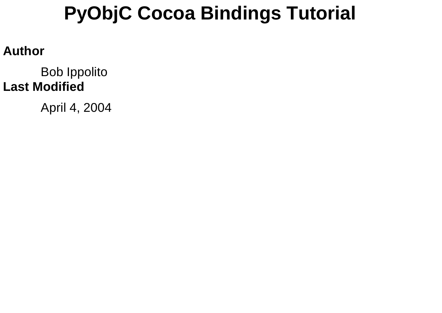# **PyObjC Cocoa Bindings Tutorial**

#### **Author**

Bob Ippolito **Last Modified**

April 4, 2004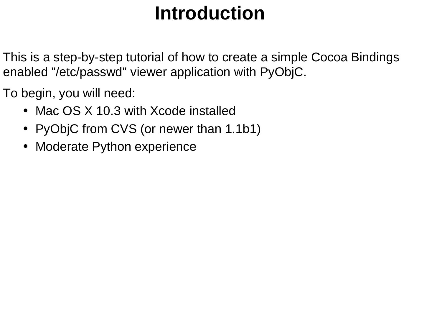# **Introduction**

This is a step-by-step tutorial of how to create a simple Cocoa Bindings enabled "/etc/passwd" viewer application with PyObjC.

To begin, you will need:

- Mac OS X 10.3 with Xcode installed
- PyObjC from CVS (or newer than 1.1b1)
- Moderate Python experience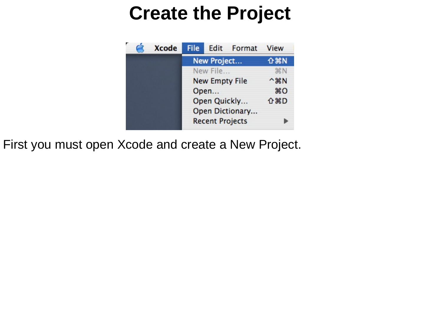## **Create the Project**

| <b>Xcode</b> | <b>File</b>           |                        | Edit Format                 | View       |
|--------------|-----------------------|------------------------|-----------------------------|------------|
|              | New Project           |                        | <b>介出N</b>                  |            |
|              |                       | New File               |                             | <b>黑N</b>  |
|              | <b>New Empty File</b> |                        | $^{\wedge}$ $\mathcal{H}$ N |            |
|              |                       | Open                   |                             | $*o$       |
|              |                       | Open Quickly           |                             | <b>介出D</b> |
|              |                       |                        | Open Dictionary             |            |
|              |                       | <b>Recent Projects</b> |                             |            |

First you must open Xcode and create a New Project.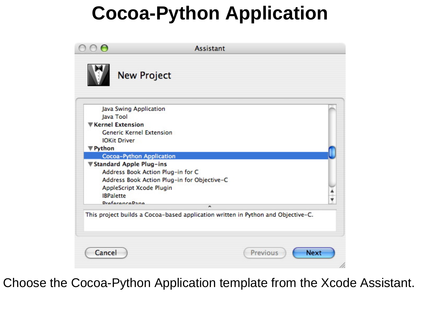# **Cocoa-Python Application**

|                  | Java Swing Application                      |  |
|------------------|---------------------------------------------|--|
| Java Tool        |                                             |  |
|                  | Kernel Extension                            |  |
|                  | <b>Generic Kernel Extension</b>             |  |
|                  | <b>IOKit Driver</b>                         |  |
| <b>Python</b>    |                                             |  |
|                  | Cocoa-Python Application                    |  |
|                  | <b>▼Standard Apple Plug-ins</b>             |  |
|                  | Address Book Action Plug-in for C           |  |
|                  | Address Book Action Plug-in for Objective-C |  |
|                  | AppleScript Xcode Plugin                    |  |
| <b>IBPalette</b> |                                             |  |
|                  | <b>DraforancoDana</b><br>$\blacksquare$     |  |

Choose the Cocoa-Python Application template from the Xcode Assistant.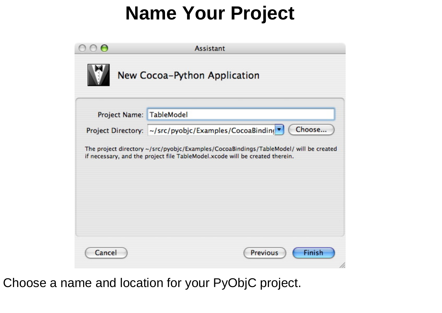# **Name Your Project**

|                              | <b>Assistant</b>                                                                                                                                                      |  |  |  |  |
|------------------------------|-----------------------------------------------------------------------------------------------------------------------------------------------------------------------|--|--|--|--|
| New Cocoa-Python Application |                                                                                                                                                                       |  |  |  |  |
| Project Name: TableModel     |                                                                                                                                                                       |  |  |  |  |
|                              | Choose<br>Project Directory: ~/src/pyobjc/Examples/CocoaBinding ▼                                                                                                     |  |  |  |  |
|                              | The project directory ~/src/pyobjc/Examples/CocoaBindings/TableModel/ will be created<br>if necessary, and the project file TableModel.xcode will be created therein. |  |  |  |  |
| Cancel                       | Finish<br><b>Previous</b>                                                                                                                                             |  |  |  |  |

Choose a name and location for your PyObjC project.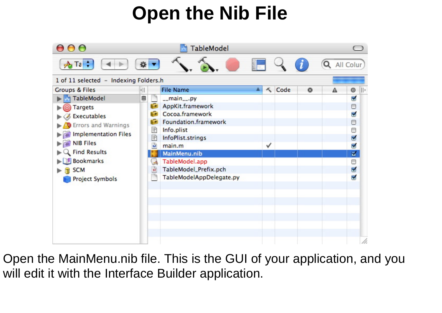# **Open the Nib File**



Open the MainMenu.nib file. This is the GUI of your application, and you will edit it with the Interface Builder application.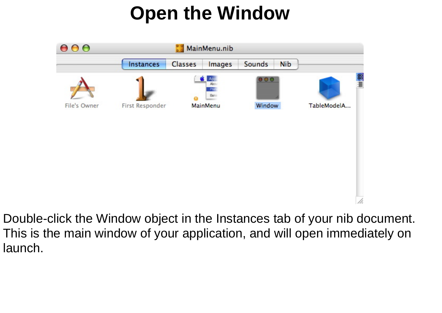# **Open the Window**



Double-click the Window object in the Instances tab of your nib document. This is the main window of your application, and will open immediately on launch.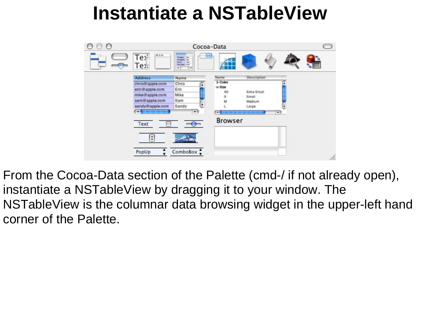## **Instantiate a NSTableView**

|                         |                                                                                                                                                                                                                                                                                                                                                                                                                                                                             | Cocoa-Data     |             |     |
|-------------------------|-----------------------------------------------------------------------------------------------------------------------------------------------------------------------------------------------------------------------------------------------------------------------------------------------------------------------------------------------------------------------------------------------------------------------------------------------------------------------------|----------------|-------------|-----|
| <br>Tey:<br>Tex.        | <b>Traple</b><br>$\begin{tabular}{ c c c c c } \hline \textbf{1} & \textbf{1} & \textbf{1} & \textbf{1} \\ \hline \textbf{1} & \textbf{1} & \textbf{1} & \textbf{1} & \textbf{1} \\ \hline \textbf{1} & \textbf{1} & \textbf{1} & \textbf{1} & \textbf{1} & \textbf{1} \\ \hline \textbf{1} & \textbf{1} & \textbf{1} & \textbf{1} & \textbf{1} & \textbf{1} & \textbf{1} \\ \hline \textbf{1} & \textbf{1} & \textbf{1} & \textbf{1} & \textbf{1$<br>$\rightarrow$<br>$+1$ |                |             |     |
| Address                 | Name                                                                                                                                                                                                                                                                                                                                                                                                                                                                        | Name           | Description |     |
| chris@apple.com         | Œ<br>Chris                                                                                                                                                                                                                                                                                                                                                                                                                                                                  | <b>D</b> Color | ×           |     |
| eric@apple.com          | Eric                                                                                                                                                                                                                                                                                                                                                                                                                                                                        | $v$ Size<br>XS | Extra Small |     |
| mike@apple.com          | Mike                                                                                                                                                                                                                                                                                                                                                                                                                                                                        |                | Small       |     |
| sam@apple.com           | Sam                                                                                                                                                                                                                                                                                                                                                                                                                                                                         | M              | Medium      |     |
| sandy@apple.com         | Œ<br>Sandy                                                                                                                                                                                                                                                                                                                                                                                                                                                                  |                | Large<br>۱e |     |
| $\overline{\mathbb{R}}$ | $\leftarrow$                                                                                                                                                                                                                                                                                                                                                                                                                                                                | 641            | $^{+}$      |     |
| Text<br>$\sim$<br>H     |                                                                                                                                                                                                                                                                                                                                                                                                                                                                             | Browser        |             |     |
| PopUp                   | ComboBox $\frac{1}{x}$                                                                                                                                                                                                                                                                                                                                                                                                                                                      |                |             | 11. |

From the Cocoa-Data section of the Palette (cmd-/ if not already open), instantiate a NSTableView by dragging it to your window. The NSTableView is the columnar data browsing widget in the upper-left hand corner of the Palette.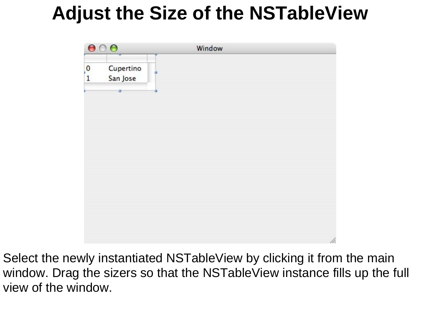# **Adjust the Size of the NSTableView**



Select the newly instantiated NSTableView by clicking it from the main window. Drag the sizers so that the NSTableView instance fills up the full view of the window.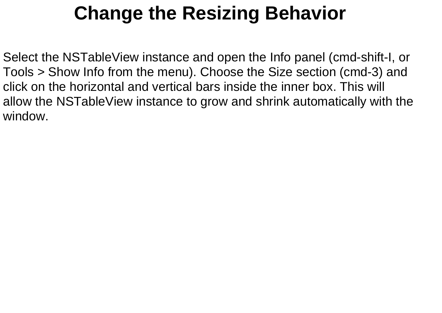# **Change the Resizing Behavior**

Select the NSTableView instance and open the Info panel (cmd-shift-I, or Tools > Show Info from the menu). Choose the Size section (cmd-3) and click on the horizontal and vertical bars inside the inner box. This will allow the NSTableView instance to grow and shrink automatically with the window.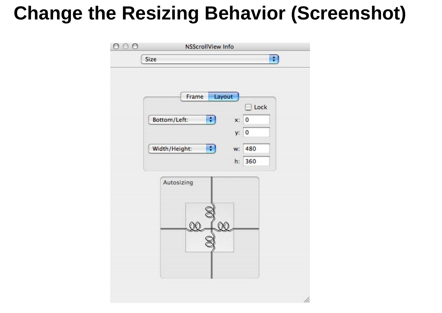## **Change the Resizing Behavior (Screenshot)**

| Layout<br>Frame                        |                         |      |
|----------------------------------------|-------------------------|------|
| $\left  \cdot \right $<br>Bottom/Left: | <b>Links</b><br>0<br>x: | Lock |
|                                        | 0<br>y:                 |      |
| Width/Height:<br>$\ddot{\cdot}$        | 480<br>w:               |      |
|                                        | 360<br>h:               |      |
| Autosizing<br>Œ                        |                         |      |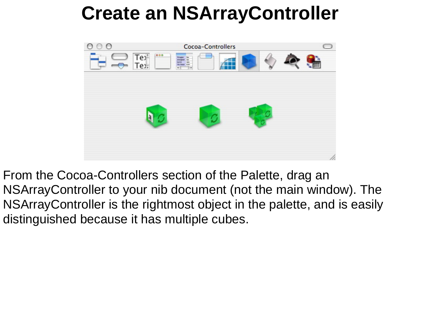# **Create an NSArrayController**



From the Cocoa-Controllers section of the Palette, drag an NSArrayController to your nib document (not the main window). The NSArrayController is the rightmost object in the palette, and is easily distinguished because it has multiple cubes.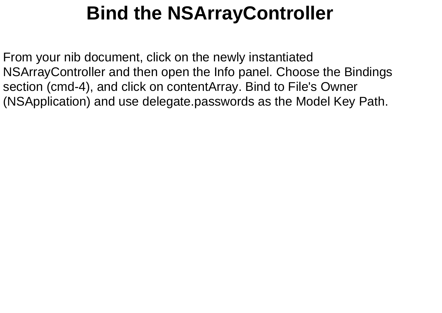# **Bind the NSArrayController**

From your nib document, click on the newly instantiated NSArrayController and then open the Info panel. Choose the Bindings section (cmd-4), and click on contentArray. Bind to File's Owner (NSApplication) and use delegate.passwords as the Model Key Path.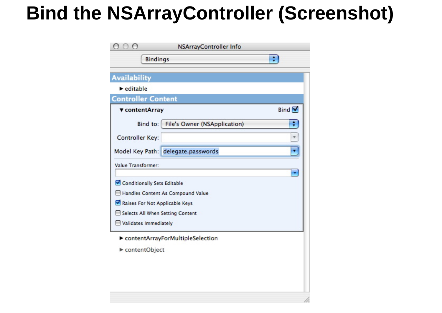## **Bind the NSArrayController (Screenshot)**

|                                | NSArrayController Info             |               |
|--------------------------------|------------------------------------|---------------|
|                                | <b>Bindings</b>                    | ÷             |
| <b>Availability</b>            |                                    |               |
| $\blacktriangleright$ editable |                                    |               |
| <b>Controller Content</b>      |                                    |               |
| ▼ contentArray                 |                                    | Bind $\nabla$ |
| Bind to:                       | File's Owner (NSApplication)       | ÷             |
| Controller Key:                |                                    |               |
|                                | Model Key Path: delegate.passwords |               |
| Value Transformer:             |                                    |               |
| Conditionally Sets Editable    |                                    | ٠             |
|                                | Handles Content As Compound Value  |               |
|                                | Raises For Not Applicable Keys     |               |
|                                | Selects All When Setting Content   |               |
| Validates Immediately          |                                    |               |
|                                | contentArrayForMultipleSelection   |               |
| contentObject                  |                                    |               |
|                                |                                    |               |
|                                |                                    |               |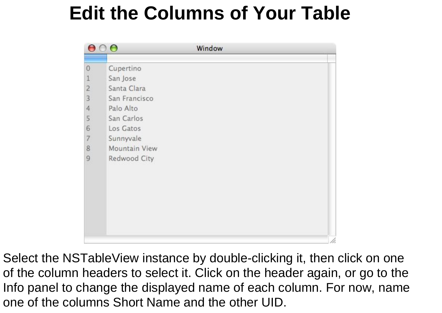# **Edit the Columns of Your Table**

| ⊖                                     | $\bullet$     | Window |  |
|---------------------------------------|---------------|--------|--|
|                                       |               |        |  |
| $\circ$                               | Cupertino     |        |  |
| $\frac{1}{2}$                         | San Jose      |        |  |
|                                       | Santa Clara   |        |  |
| 3                                     | San Francisco |        |  |
| $\ddot{4}$                            | Palo Alto     |        |  |
| 5                                     | San Carlos    |        |  |
| 6                                     | Los Gatos     |        |  |
|                                       | Sunnyvale     |        |  |
| $\begin{array}{c} 7 \\ 8 \end{array}$ | Mountain View |        |  |
| $\overline{9}$                        | Redwood City  |        |  |
|                                       |               |        |  |
|                                       |               |        |  |
|                                       |               |        |  |
|                                       |               |        |  |
|                                       |               |        |  |
|                                       |               |        |  |
|                                       |               |        |  |
|                                       |               |        |  |
|                                       |               |        |  |

Select the NSTableView instance by double-clicking it, then click on one of the column headers to select it. Click on the header again, or go to the Info panel to change the displayed name of each column. For now, name one of the columns Short Name and the other UID.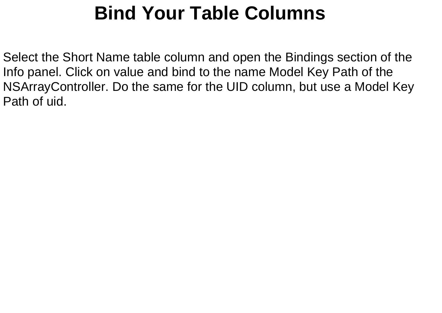# **Bind Your Table Columns**

Select the Short Name table column and open the Bindings section of the Info panel. Click on value and bind to the name Model Key Path of the NSArrayController. Do the same for the UID column, but use a Model Key Path of uid.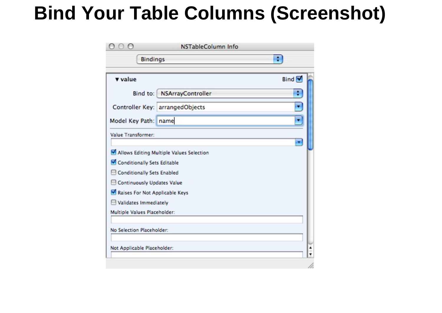#### **Bind Your Table Columns (Screenshot)**

|                                                                                                                                                                                    | NSTableColumn Info                       |             |
|------------------------------------------------------------------------------------------------------------------------------------------------------------------------------------|------------------------------------------|-------------|
|                                                                                                                                                                                    | <b>Bindings</b>                          | ÷           |
| value                                                                                                                                                                              |                                          | <b>Bind</b> |
| Bind to:                                                                                                                                                                           | NSArrayController                        | ٠           |
|                                                                                                                                                                                    | Controller Key: arrangedObjects          |             |
| Model Key Path:                                                                                                                                                                    | name                                     |             |
| Value Transformer:                                                                                                                                                                 |                                          |             |
| Conditionally Sets Editable<br>Conditionally Sets Enabled<br>Continuously Updates Value<br>Raises For Not Applicable Keys<br>Validates Immediately<br>Multiple Values Placeholder: | Allows Editing Multiple Values Selection |             |
| No Selection Placeholder:<br>Not Applicable Placeholder:                                                                                                                           |                                          |             |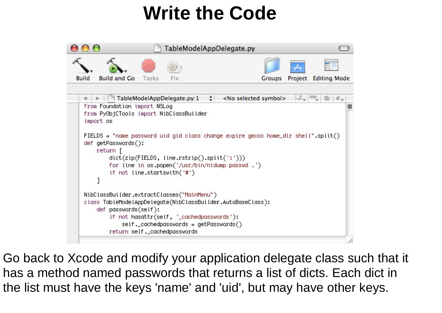## **Write the Code**



Go back to Xcode and modify your application delegate class such that it has a method named passwords that returns a list of dicts. Each dict in the list must have the keys 'name' and 'uid', but may have other keys.